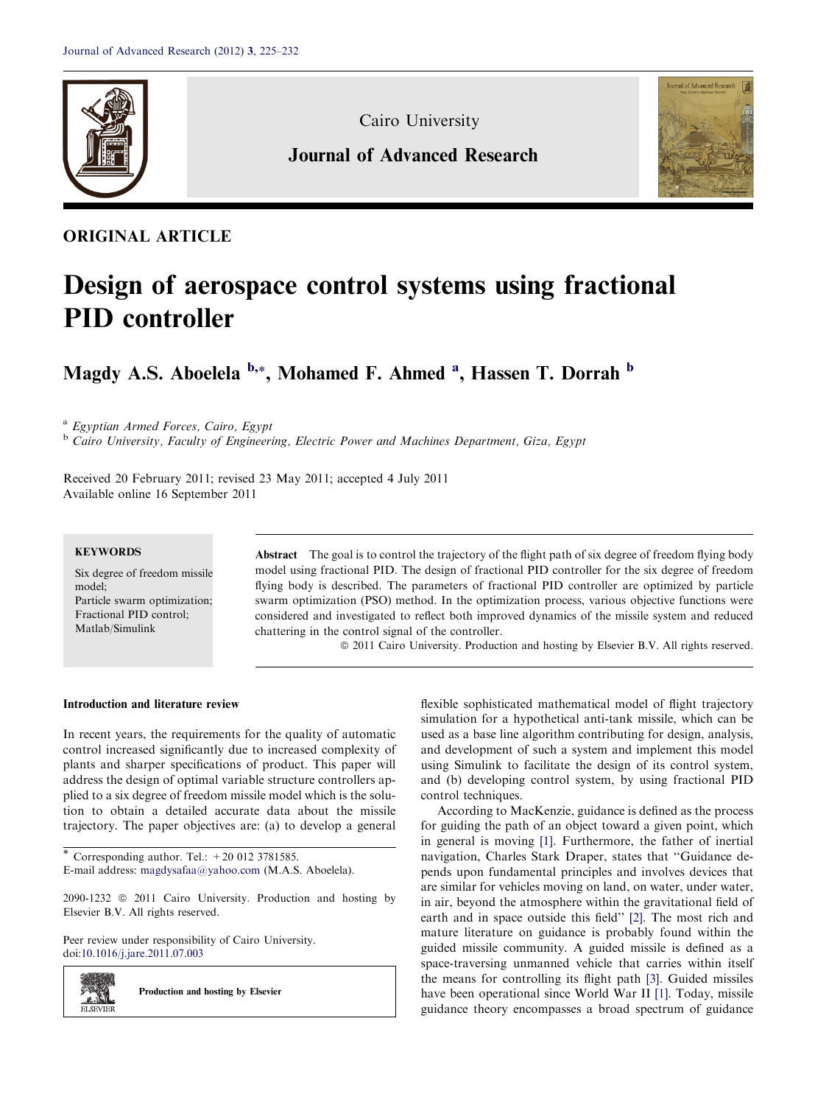

Cairo University

## Journal of Advanced Research



### ORIGINAL ARTICLE

# Design of aerospace control systems using fractional PID controller

Magdy A.S. Aboelela <sup>b,</sup>\*, Mohamed F. Ahmed <sup>a</sup>, Hassen T. Dorrah <sup>b</sup>

<sup>a</sup> Egyptian Armed Forces, Cairo, Egypt

<sup>b</sup> Cairo University, Faculty of Engineering, Electric Power and Machines Department, Giza, Egypt

Received 20 February 2011; revised 23 May 2011; accepted 4 July 2011 Available online 16 September 2011

#### **KEYWORDS**

Six degree of freedom missile model; Particle swarm optimization; Fractional PID control; Matlab/Simulink

Abstract The goal is to control the trajectory of the flight path of six degree of freedom flying body model using fractional PID. The design of fractional PID controller for the six degree of freedom flying body is described. The parameters of fractional PID controller are optimized by particle swarm optimization (PSO) method. In the optimization process, various objective functions were considered and investigated to reflect both improved dynamics of the missile system and reduced chattering in the control signal of the controller.

ª 2011 Cairo University. Production and hosting by Elsevier B.V. All rights reserved.

#### Introduction and literature review

In recent years, the requirements for the quality of automatic control increased significantly due to increased complexity of plants and sharper specifications of product. This paper will address the design of optimal variable structure controllers applied to a six degree of freedom missile model which is the solution to obtain a detailed accurate data about the missile trajectory. The paper objectives are: (a) to develop a general

\* Corresponding author. Tel.:  $+200123781585$ . E-mail address: [magdysafaa@yahoo.com](mailto:magdysafaa@yahoo.com) (M.A.S. Aboelela).

2090-1232 <sup>©</sup> 2011 Cairo University. Production and hosting by Elsevier B.V. All rights reserved.

Peer review under responsibility of Cairo University. doi[:10.1016/j.jare.2011.07.003](http://dx.doi.org/10.1016/j.jare.2011.07.003)

2.SN **ELSEVIEE**  Production and hosting by Elsevier

flexible sophisticated mathematical model of flight trajectory simulation for a hypothetical anti-tank missile, which can be used as a base line algorithm contributing for design, analysis, and development of such a system and implement this model using Simulink to facilitate the design of its control system, and (b) developing control system, by using fractional PID control techniques.

According to MacKenzie, guidance is defined as the process for guiding the path of an object toward a given point, which in general is moving [\[1\]](#page--1-0). Furthermore, the father of inertial navigation, Charles Stark Draper, states that ''Guidance depends upon fundamental principles and involves devices that are similar for vehicles moving on land, on water, under water, in air, beyond the atmosphere within the gravitational field of earth and in space outside this field'' [\[2\].](#page--1-0) The most rich and mature literature on guidance is probably found within the guided missile community. A guided missile is defined as a space-traversing unmanned vehicle that carries within itself the means for controlling its flight path [\[3\].](#page--1-0) Guided missiles have been operational since World War II [\[1\]](#page--1-0). Today, missile guidance theory encompasses a broad spectrum of guidance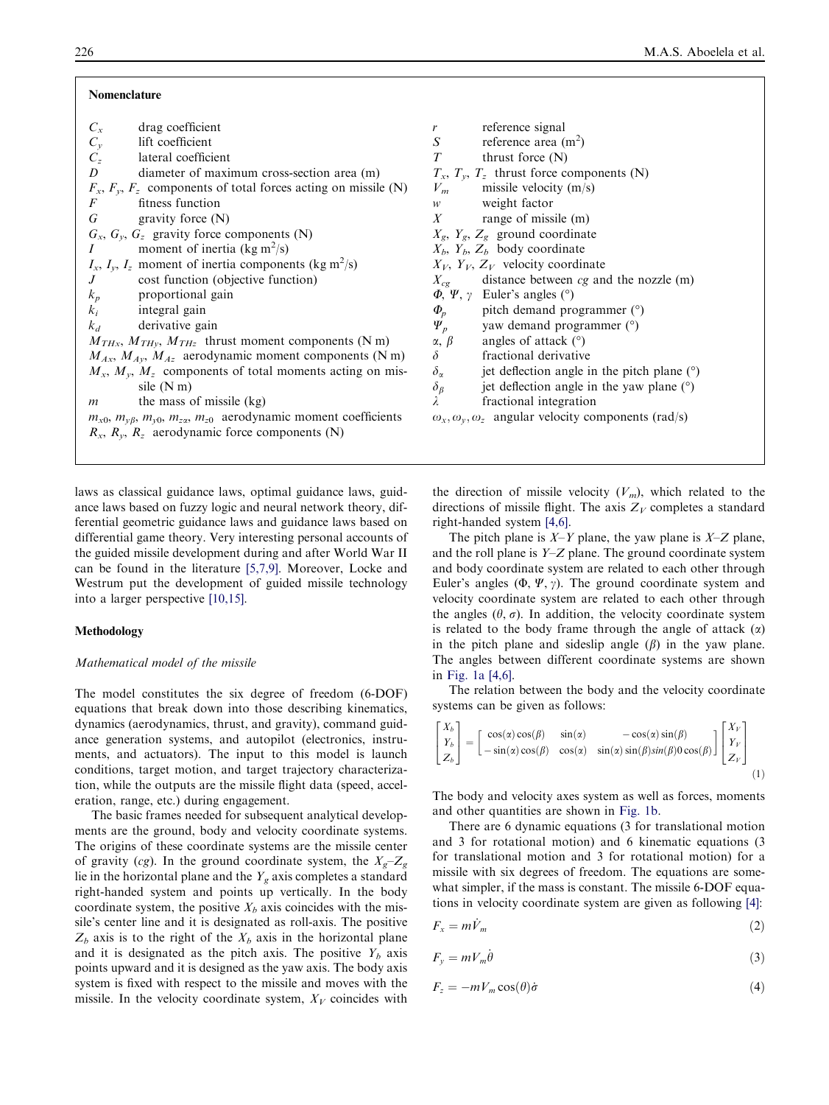#### Nomenclature

| $C_x$ drag coefficient                                                                        |
|-----------------------------------------------------------------------------------------------|
| $C_y$ lift coefficient                                                                        |
| $C_z$ lateral coefficient                                                                     |
| D<br>diameter of maximum cross-section area (m)                                               |
| $F_x, F_y, F_z$ components of total forces acting on missile (N)                              |
| $F$ fitness function                                                                          |
| $G$ gravity force (N)                                                                         |
| $G_x, G_y, G_z$ gravity force components (N)                                                  |
| moment of inertia (kg m <sup>2</sup> /s)<br>$\mathcal{I}$                                     |
| $I_x$ , $I_y$ , $I_z$ moment of inertia components (kg m <sup>2</sup> /s)                     |
| $J$ cost function (objective function)                                                        |
| $k_p$ proportional gain                                                                       |
| $k_i$ integral gain                                                                           |
| $k_d$ derivative gain                                                                         |
| $M_{THx}$ , $M_{THy}$ , $M_{THz}$ thrust moment components (N m)                              |
| $M_{Ax}$ , $M_{Ay}$ , $M_{Az}$ aerodynamic moment components (N m)                            |
| $M_x$ , $M_y$ , $M_z$ components of total moments acting on mis-                              |
| sile $(N \, \text{m})$                                                                        |
| the mass of missile (kg)<br>m                                                                 |
| $m_{x0}$ , $m_{y\beta}$ , $m_{y0}$ , $m_{z\alpha}$ , $m_{z0}$ aerodynamic moment coefficients |
| $R_x$ , $R_y$ , $R_z$ aerodynamic force components (N)                                        |

laws as classical guidance laws, optimal guidance laws, guidance laws based on fuzzy logic and neural network theory, differential geometric guidance laws and guidance laws based on differential game theory. Very interesting personal accounts of the guided missile development during and after World War II can be found in the literature [\[5,7,9\]](#page--1-0). Moreover, Locke and Westrum put the development of guided missile technology into a larger perspective [\[10,15\]](#page--1-0).

#### Methodology

#### Mathematical model of the missile

The model constitutes the six degree of freedom (6-DOF) equations that break down into those describing kinematics, dynamics (aerodynamics, thrust, and gravity), command guidance generation systems, and autopilot (electronics, instruments, and actuators). The input to this model is launch conditions, target motion, and target trajectory characterization, while the outputs are the missile flight data (speed, acceleration, range, etc.) during engagement.

The basic frames needed for subsequent analytical developments are the ground, body and velocity coordinate systems. The origins of these coordinate systems are the missile center of gravity (cg). In the ground coordinate system, the  $X_{g}-Z_{g}$ lie in the horizontal plane and the  $Y_g$  axis completes a standard right-handed system and points up vertically. In the body coordinate system, the positive  $X_b$  axis coincides with the missile's center line and it is designated as roll-axis. The positive  $Z_b$  axis is to the right of the  $X_b$  axis in the horizontal plane and it is designated as the pitch axis. The positive  $Y_b$  axis points upward and it is designed as the yaw axis. The body axis system is fixed with respect to the missile and moves with the missile. In the velocity coordinate system,  $X_V$  coincides with

| r         | reference signal                                                   |
|-----------|--------------------------------------------------------------------|
|           | $S$ reference area $(m2)$                                          |
|           | $T$ thrust force (N)                                               |
|           | $T_x$ , $T_y$ , $T_z$ thrust force components (N)                  |
|           | $V_m$ missile velocity (m/s)                                       |
|           | <i>w</i> weight factor                                             |
|           | $X$ range of missile (m)                                           |
|           | $X_g$ , $Y_g$ , $Z_g$ ground coordinate                            |
|           | $X_h$ , $Y_h$ , $Z_h$ body coordinate                              |
|           | $X_V$ , $Y_V$ , $Z_V$ velocity coordinate                          |
|           | $X_{cg}$ distance between cg and the nozzle (m)                    |
|           | $\Phi$ , $\Psi$ , $\gamma$ Euler's angles (°)                      |
|           | $\Phi_p$ pitch demand programmer (°)                               |
|           | $\Psi_p$ yaw demand programmer (°)                                 |
|           | $\alpha$ , $\beta$ angles of attack (°)                            |
|           | $\delta$ fractional derivative                                     |
|           | $\delta_{\alpha}$ jet deflection angle in the pitch plane (°)      |
|           | $\delta_{\beta}$ jet deflection angle in the yaw plane (°)         |
| $\lambda$ | fractional integration                                             |
|           | $\omega_x, \omega_y, \omega_z$ angular velocity components (rad/s) |

the direction of missile velocity  $(V_m)$ , which related to the directions of missile flight. The axis  $Z_V$  completes a standard right-handed system [\[4,6\]](#page--1-0).

The pitch plane is  $X-Y$  plane, the yaw plane is  $X-Z$  plane, and the roll plane is  $Y-Z$  plane. The ground coordinate system and body coordinate system are related to each other through Euler's angles  $(\Phi, \Psi, \gamma)$ . The ground coordinate system and velocity coordinate system are related to each other through the angles  $(\theta, \sigma)$ . In addition, the velocity coordinate system is related to the body frame through the angle of attack  $(\alpha)$ in the pitch plane and sideslip angle  $(\beta)$  in the yaw plane. The angles between different coordinate systems are shown in [Fig. 1a \[4,6\].](#page--1-0)

The relation between the body and the velocity coordinate systems can be given as follows:

$$
\begin{bmatrix} X_b \\ Y_b \\ Z_b \end{bmatrix} = \begin{bmatrix} \cos(\alpha)\cos(\beta) & \sin(\alpha) & -\cos(\alpha)\sin(\beta) \\ -\sin(\alpha)\cos(\beta) & \cos(\alpha) & \sin(\alpha)\sin(\beta)\sin(\beta) & 0 \\ \end{bmatrix} \begin{bmatrix} X_V \\ Y_V \\ Z_V \end{bmatrix}
$$
\n(1)

The body and velocity axes system as well as forces, moments and other quantities are shown in [Fig. 1b.](#page--1-0)

There are 6 dynamic equations (3 for translational motion and 3 for rotational motion) and 6 kinematic equations (3 for translational motion and 3 for rotational motion) for a missile with six degrees of freedom. The equations are somewhat simpler, if the mass is constant. The missile 6-DOF equations in velocity coordinate system are given as following [\[4\]:](#page--1-0)

$$
F_x = m\dot{V}_m \tag{2}
$$

$$
F_y = mV_m \dot{\theta} \tag{3}
$$

$$
F_z = -mV_m \cos(\theta)\dot{\sigma}
$$
 (4)